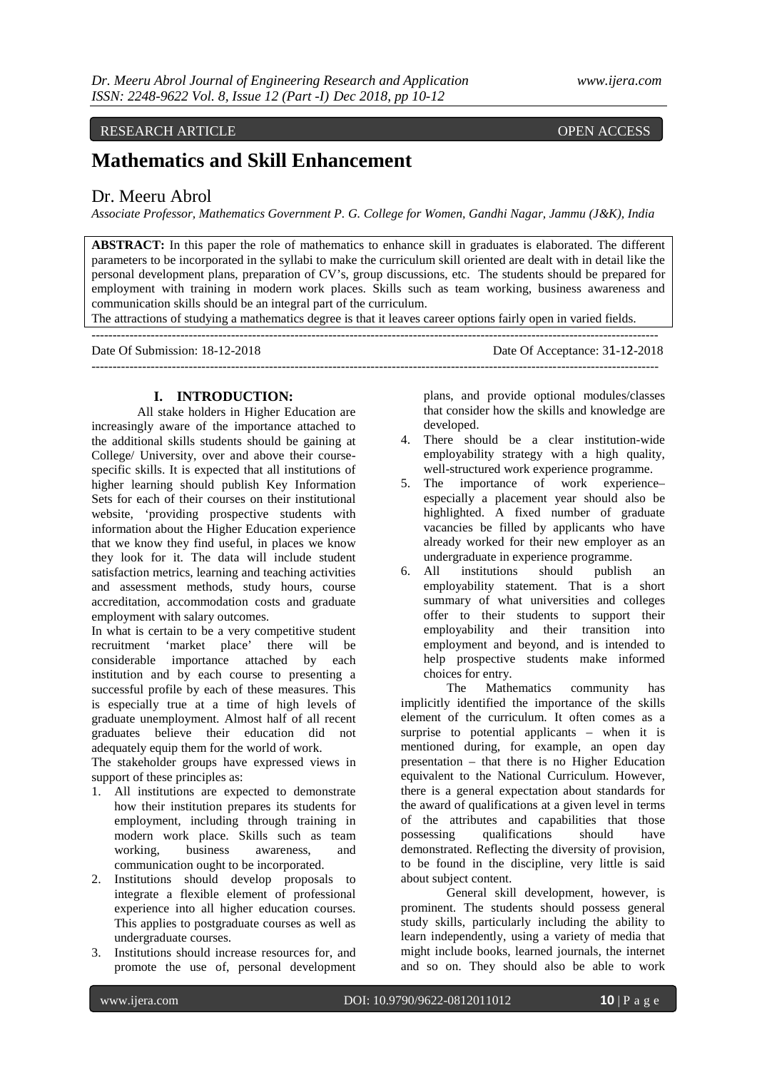## RESEARCH ARTICLE OPEN ACCESS

## **Mathematics and Skill Enhancement**

## Dr. Meeru Abrol

*Associate Professor, Mathematics Government P. G. College for Women, Gandhi Nagar, Jammu (J&K), India*

**ABSTRACT:** In this paper the role of mathematics to enhance skill in graduates is elaborated. The different parameters to be incorporated in the syllabi to make the curriculum skill oriented are dealt with in detail like the personal development plans, preparation of CV's, group discussions, etc. The students should be prepared for employment with training in modern work places. Skills such as team working, business awareness and communication skills should be an integral part of the curriculum.

The attractions of studying a mathematics degree is that it leaves career options fairly open in varied fields.

| Date Of Submission: 18-12-2018 | Date Of Acceptance: 31-12-2018 |
|--------------------------------|--------------------------------|
|                                |                                |

## **I. INTRODUCTION:**

All stake holders in Higher Education are increasingly aware of the importance attached to the additional skills students should be gaining at College/ University, over and above their coursespecific skills. It is expected that all institutions of higher learning should publish Key Information Sets for each of their courses on their institutional website, 'providing prospective students with information about the Higher Education experience that we know they find useful, in places we know they look for it. The data will include student satisfaction metrics, learning and teaching activities and assessment methods, study hours, course accreditation, accommodation costs and graduate employment with salary outcomes.

In what is certain to be a very competitive student recruitment 'market place' there will be considerable importance attached by each institution and by each course to presenting a successful profile by each of these measures. This is especially true at a time of high levels of graduate unemployment. Almost half of all recent graduates believe their education did not adequately equip them for the world of work.

The stakeholder groups have expressed views in support of these principles as:

- 1. All institutions are expected to demonstrate how their institution prepares its students for employment, including through training in modern work place. Skills such as team working, business awareness, and communication ought to be incorporated.
- 2. Institutions should develop proposals to integrate a flexible element of professional experience into all higher education courses. This applies to postgraduate courses as well as undergraduate courses.
- 3. Institutions should increase resources for, and promote the use of, personal development

plans, and provide optional modules/classes that consider how the skills and knowledge are developed.

- 4. There should be a clear institution-wide employability strategy with a high quality, well-structured work experience programme.
- 5. The importance of work experience– especially a placement year should also be highlighted. A fixed number of graduate vacancies be filled by applicants who have already worked for their new employer as an undergraduate in experience programme.
- 6. All institutions should publish an employability statement. That is a short summary of what universities and colleges offer to their students to support their employability and their transition into employment and beyond, and is intended to help prospective students make informed choices for entry.

The Mathematics community has implicitly identified the importance of the skills element of the curriculum. It often comes as a surprise to potential applicants – when it is mentioned during, for example, an open day presentation – that there is no Higher Education equivalent to the National Curriculum. However, there is a general expectation about standards for the award of qualifications at a given level in terms of the attributes and capabilities that those possessing qualifications should have demonstrated. Reflecting the diversity of provision, to be found in the discipline, very little is said about subject content.

General skill development, however, is prominent. The students should possess general study skills, particularly including the ability to learn independently, using a variety of media that might include books, learned journals, the internet and so on. They should also be able to work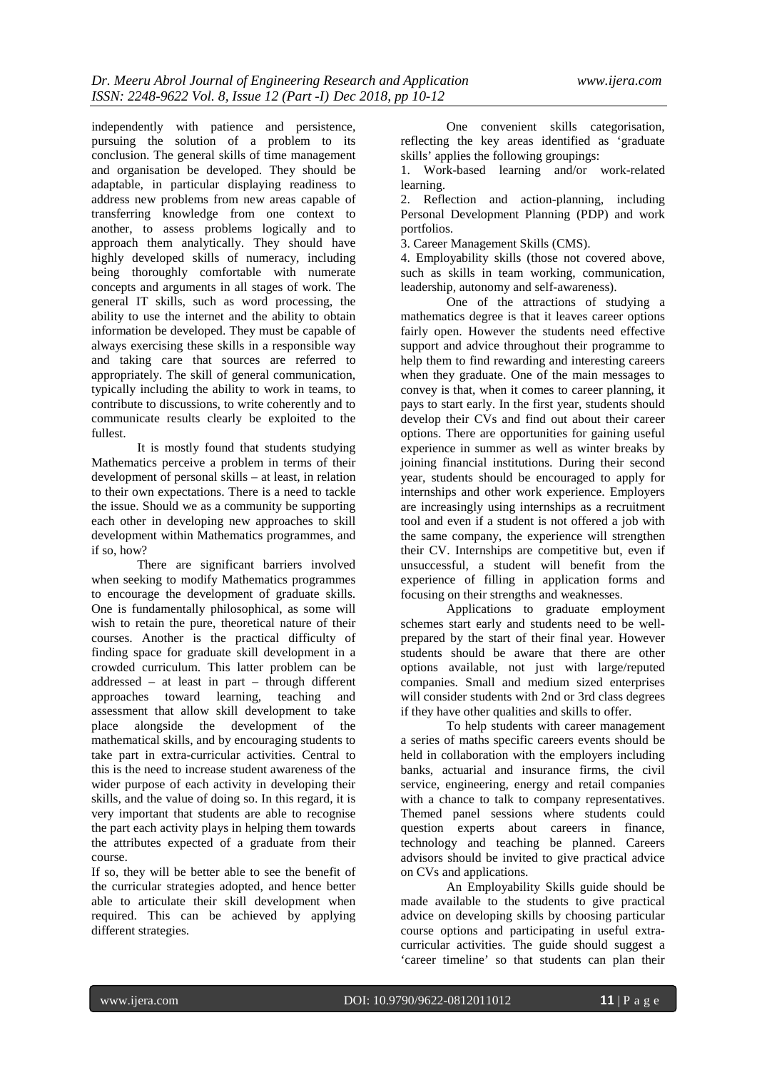independently with patience and persistence, pursuing the solution of a problem to its conclusion. The general skills of time management and organisation be developed. They should be adaptable, in particular displaying readiness to address new problems from new areas capable of transferring knowledge from one context to another, to assess problems logically and to approach them analytically. They should have highly developed skills of numeracy, including being thoroughly comfortable with numerate concepts and arguments in all stages of work. The general IT skills, such as word processing, the ability to use the internet and the ability to obtain information be developed. They must be capable of always exercising these skills in a responsible way and taking care that sources are referred to appropriately. The skill of general communication, typically including the ability to work in teams, to contribute to discussions, to write coherently and to communicate results clearly be exploited to the fullest.

It is mostly found that students studying Mathematics perceive a problem in terms of their development of personal skills – at least, in relation to their own expectations. There is a need to tackle the issue. Should we as a community be supporting each other in developing new approaches to skill development within Mathematics programmes, and if so, how?

There are significant barriers involved when seeking to modify Mathematics programmes to encourage the development of graduate skills. One is fundamentally philosophical, as some will wish to retain the pure, theoretical nature of their courses. Another is the practical difficulty of finding space for graduate skill development in a crowded curriculum. This latter problem can be addressed – at least in part – through different approaches toward learning, teaching and assessment that allow skill development to take place alongside the development of the mathematical skills, and by encouraging students to take part in extra-curricular activities. Central to this is the need to increase student awareness of the wider purpose of each activity in developing their skills, and the value of doing so. In this regard, it is very important that students are able to recognise the part each activity plays in helping them towards the attributes expected of a graduate from their course.

If so, they will be better able to see the benefit of the curricular strategies adopted, and hence better able to articulate their skill development when required. This can be achieved by applying different strategies.

One convenient skills categorisation, reflecting the key areas identified as 'graduate skills' applies the following groupings:

1. Work-based learning and/or work-related learning.

2. Reflection and action-planning, including Personal Development Planning (PDP) and work portfolios.

3. Career Management Skills (CMS).

4. Employability skills (those not covered above, such as skills in team working, communication, leadership, autonomy and self-awareness).

One of the attractions of studying a mathematics degree is that it leaves career options fairly open. However the students need effective support and advice throughout their programme to help them to find rewarding and interesting careers when they graduate. One of the main messages to convey is that, when it comes to career planning, it pays to start early. In the first year, students should develop their CVs and find out about their career options. There are opportunities for gaining useful experience in summer as well as winter breaks by joining financial institutions. During their second year, students should be encouraged to apply for internships and other work experience. Employers are increasingly using internships as a recruitment tool and even if a student is not offered a job with the same company, the experience will strengthen their CV. Internships are competitive but, even if unsuccessful, a student will benefit from the experience of filling in application forms and focusing on their strengths and weaknesses.

Applications to graduate employment schemes start early and students need to be wellprepared by the start of their final year. However students should be aware that there are other options available, not just with large/reputed companies. Small and medium sized enterprises will consider students with 2nd or 3rd class degrees if they have other qualities and skills to offer.

To help students with career management a series of maths specific careers events should be held in collaboration with the employers including banks, actuarial and insurance firms, the civil service, engineering, energy and retail companies with a chance to talk to company representatives. Themed panel sessions where students could question experts about careers in finance, technology and teaching be planned. Careers advisors should be invited to give practical advice on CVs and applications.

An Employability Skills guide should be made available to the students to give practical advice on developing skills by choosing particular course options and participating in useful extracurricular activities. The guide should suggest a 'career timeline' so that students can plan their